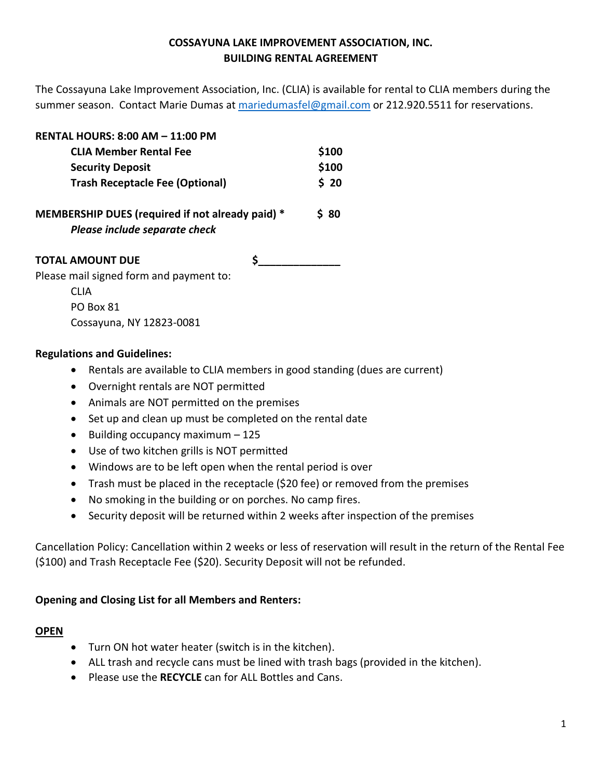# **COSSAYUNA LAKE IMPROVEMENT ASSOCIATION, INC. BUILDING RENTAL AGREEMENT**

The Cossayuna Lake Improvement Association, Inc. (CLIA) is available for rental to CLIA members during the summer season. Contact Marie Dumas at [mariedumasfel@gmail.com](mailto:mariedumasfel@gmail.com) or 212.920.5511 for reservations.

| <b>RENTAL HOURS: 8:00 AM - 11:00 PM</b>                                           |  |              |
|-----------------------------------------------------------------------------------|--|--------------|
| <b>CLIA Member Rental Fee</b>                                                     |  | \$100        |
| <b>Security Deposit</b>                                                           |  | \$100        |
| <b>Trash Receptacle Fee (Optional)</b>                                            |  | \$20<br>S 80 |
| MEMBERSHIP DUES (required if not already paid) *<br>Please include separate check |  |              |
| <b>TOTAL AMOUNT DUE</b>                                                           |  |              |
| Please mail signed form and payment to:                                           |  |              |
| <b>CLIA</b>                                                                       |  |              |
| PO Box 81                                                                         |  |              |

## **Regulations and Guidelines:**

Cossayuna, NY 12823-0081

- Rentals are available to CLIA members in good standing (dues are current)
- Overnight rentals are NOT permitted
- Animals are NOT permitted on the premises
- Set up and clean up must be completed on the rental date
- Building occupancy maximum 125
- Use of two kitchen grills is NOT permitted
- Windows are to be left open when the rental period is over
- Trash must be placed in the receptacle (\$20 fee) or removed from the premises
- No smoking in the building or on porches. No camp fires.
- Security deposit will be returned within 2 weeks after inspection of the premises

Cancellation Policy: Cancellation within 2 weeks or less of reservation will result in the return of the Rental Fee (\$100) and Trash Receptacle Fee (\$20). Security Deposit will not be refunded.

# **Opening and Closing List for all Members and Renters:**

#### **OPEN**

- Turn ON hot water heater (switch is in the kitchen).
- ALL trash and recycle cans must be lined with trash bags (provided in the kitchen).
- Please use the **RECYCLE** can for ALL Bottles and Cans.